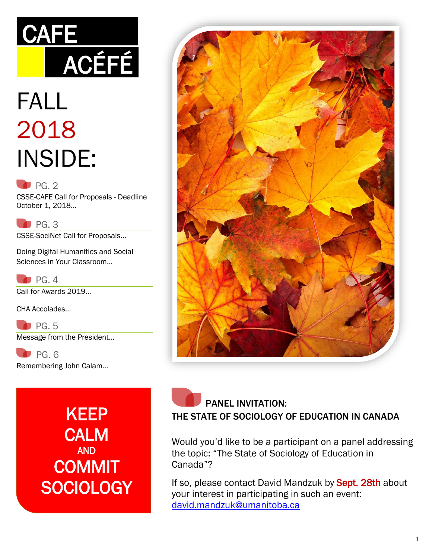# **CAFE** ACÉFÉ

## FALL 2018 INSIDE:

#### $P$ G. 2

CSSE-CAFE Call for Proposals - Deadline October 1, 2018…

 $P$ G. 3

CSSE-SociNet Call for Proposals…

Doing Digital Humanities and Social Sciences in Your Classroom…

 $P<sub>G.4</sub>$ Call for Awards 2019…

CHA Accolades…

 $P$ G. 5 Message from the President…

 PG. 6 Remembering John Calam…

> KEEP **CALM** AND **COMMIT SOCIOLOGY**



 PANEL INVITATION: THE STATE OF SOCIOLOGY OF EDUCATION IN CANADA

Would you'd like to be a participant on a panel addressing the topic: "The State of Sociology of Education in Canada"?

If so, please contact David Mandzuk by Sept. 28th about your interest in participating in such an event: [david.mandzuk@umanitoba.ca](mailto:david.mandzuk@umanitoba.ca)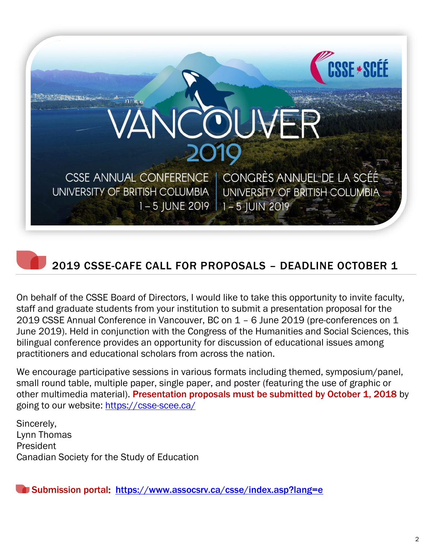

### 2019 CSSE-CAFE CALL FOR PROPOSALS – DEADLINE OCTOBER 1

On behalf of the CSSE Board of Directors, I would like to take this opportunity to invite faculty, staff and graduate students from your institution to submit a presentation proposal for the 2019 CSSE Annual Conference in Vancouver, BC on 1 – 6 June 2019 (pre-conferences on 1 June 2019). Held in conjunction with the Congress of the Humanities and Social Sciences, this bilingual conference provides an opportunity for discussion of educational issues among practitioners and educational scholars from across the nation.

We encourage participative sessions in various formats including themed, symposium/panel, small round table, multiple paper, single paper, and poster (featuring the use of graphic or other multimedia material). Presentation proposals must be submitted by October 1, 2018 by going to our website:<https://csse-scee.ca/>

Sincerely, Lynn Thomas President Canadian Society for the Study of Education

Submission portal: <https://www.assocsrv.ca/csse/index.asp?lang=e>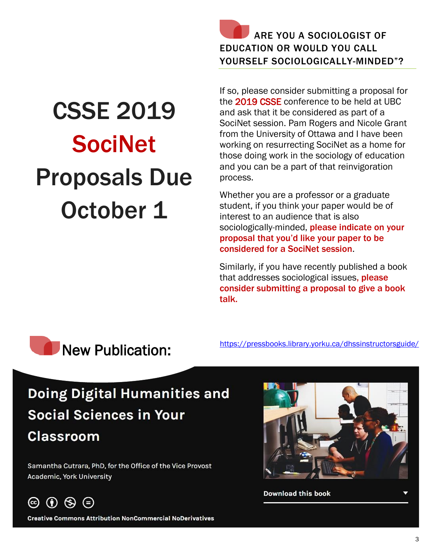

# CSSE 2019 SociNet Proposals Due October 1

If so, please consider submitting a proposal for the 2019 CSSE conference to be held at UBC and ask that it be considered as part of a SociNet session. Pam Rogers and Nicole Grant from the University of Ottawa and I have been working on resurrecting SociNet as a home for those doing work in the sociology of education and you can be a part of that reinvigoration process.

Whether you are a professor or a graduate student, if you think your paper would be of interest to an audience that is also sociologically-minded, please indicate on your proposal that you'd like your paper to be considered for a SociNet session.

Similarly, if you have recently published a book that addresses sociological issues, please consider submitting a proposal to give a book talk.



### Doing Digital Humanities and **Social Sciences in Your Classroom**

Samantha Cutrara, PhD, for the Office of the Vice Provost Academic, York University



**Creative Commons Attribution NonCommercial NoDerivatives** 

(=)



**Download this book**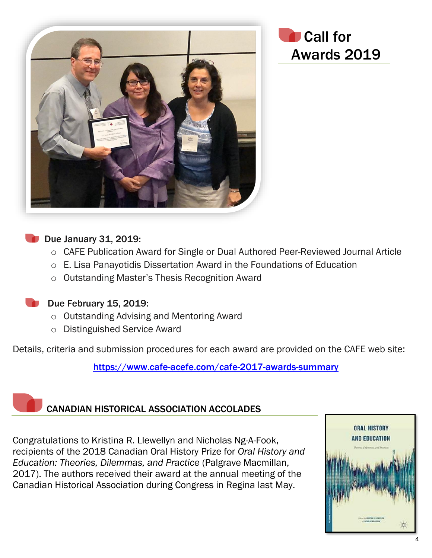

#### Due January 31, 2019:

- o CAFE Publication Award for Single or Dual Authored Peer-Reviewed Journal Article
- o E. Lisa Panayotidis Dissertation Award in the Foundations of Education
- o Outstanding Master's Thesis Recognition Award

#### Due February 15, 2019:

- o Outstanding Advising and Mentoring Award
- o Distinguished Service Award

Details, criteria and submission procedures for each award are provided on the CAFE web site:

<https://www.cafe-acefe.com/cafe-2017-awards-summary>

### CANADIAN HISTORICAL ASSOCIATION ACCOLADES

Congratulations to Kristina R. Llewellyn and Nicholas Ng-A-Fook, recipients of the 2018 Canadian Oral History Prize for *Oral History and Education: Theories, Dilemmas, and Practice* (Palgrave Macmillan, 2017). The authors received their award at the annual meeting of the Canadian Historical Association during Congress in Regina last May.

![](_page_3_Picture_13.jpeg)

Call for

Awards 2019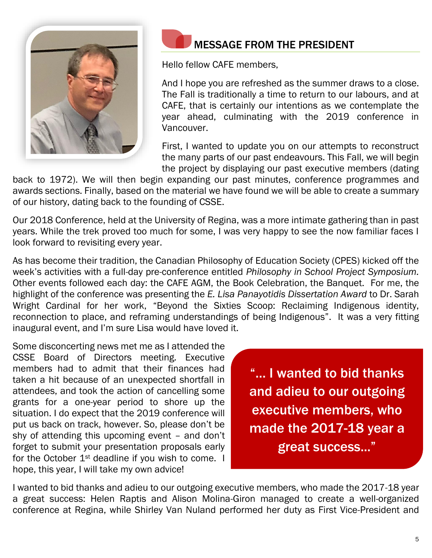![](_page_4_Picture_0.jpeg)

![](_page_4_Picture_1.jpeg)

Hello fellow CAFE members,

And I hope you are refreshed as the summer draws to a close. The Fall is traditionally a time to return to our labours, and at CAFE, that is certainly our intentions as we contemplate the year ahead, culminating with the 2019 conference in Vancouver.

First, I wanted to update you on our attempts to reconstruct the many parts of our past endeavours. This Fall, we will begin the project by displaying our past executive members (dating

back to 1972). We will then begin expanding our past minutes, conference programmes and awards sections. Finally, based on the material we have found we will be able to create a summary of our history, dating back to the founding of CSSE.

Our 2018 Conference, held at the University of Regina, was a more intimate gathering than in past years. While the trek proved too much for some, I was very happy to see the now familiar faces I look forward to revisiting every year.

As has become their tradition, the Canadian Philosophy of Education Society (CPES) kicked off the week's activities with a full-day pre-conference entitled *Philosophy in School Project Symposium.*  Other events followed each day: the CAFE AGM, the Book Celebration, the Banquet. For me, the highlight of the conference was presenting the *E. Lisa Panayotidis Dissertation Award* to Dr. Sarah Wright Cardinal for her work, "Beyond the Sixties Scoop: Reclaiming Indigenous identity, reconnection to place, and reframing understandings of being Indigenous". It was a very fitting inaugural event, and I'm sure Lisa would have loved it.

Some disconcerting news met me as I attended the CSSE Board of Directors meeting. Executive members had to admit that their finances had taken a hit because of an unexpected shortfall in attendees, and took the action of cancelling some grants for a one-year period to shore up the situation. I do expect that the 2019 conference will put us back on track, however. So, please don't be shy of attending this upcoming event – and don't forget to submit your presentation proposals early for the October  $1<sup>st</sup>$  deadline if you wish to come. I hope, this year, I will take my own advice!

"… I wanted to bid thanks and adieu to our outgoing executive members, who made the 2017-18 year a great success..."

I wanted to bid thanks and adieu to our outgoing executive members, who made the 2017-18 year a great success: Helen Raptis and Alison Molina-Giron managed to create a well-organized conference at Regina, while Shirley Van Nuland performed her duty as First Vice-President and